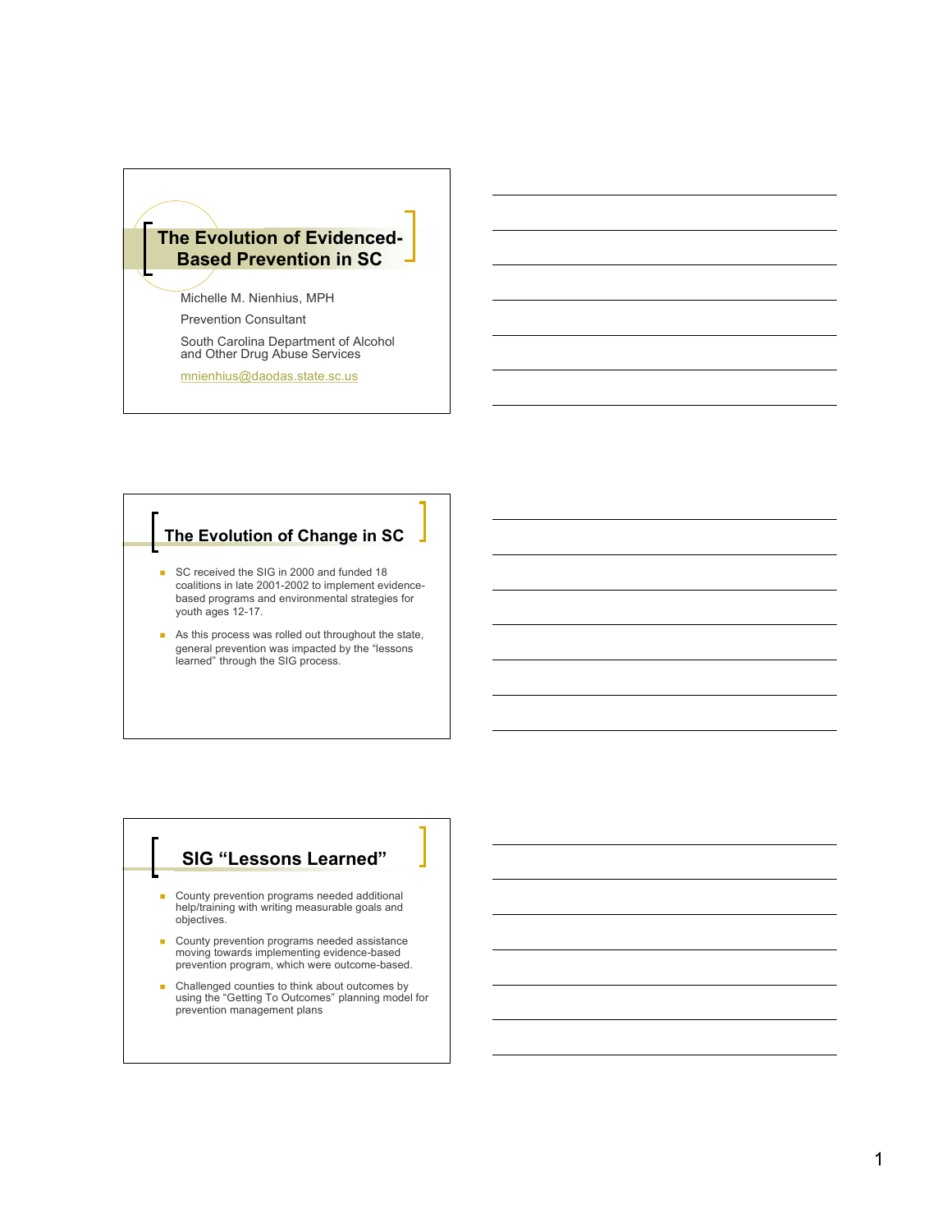

South Carolina Department of Alcohol and Other Drug Abuse Services

mnienhius@daodas.state.sc.us

## **The Evolution of Change in SC**

- SC received the SIG in 2000 and funded 18 coalitions in late 2001-2002 to implement evidencebased programs and environmental strategies for youth ages 12-17.
- **As this process was rolled out throughout the state,** general prevention was impacted by the "lessons learned" through the SIG process.

## **SIG "Lessons Learned"**

- County prevention programs needed additional help/training with writing measurable goals and objectives.
- County prevention programs needed assistance moving towards implementing evidence-based prevention program, which were outcome-based.
- **Challenged counties to think about outcomes by** using the "Getting To Outcomes" planning model for prevention management plans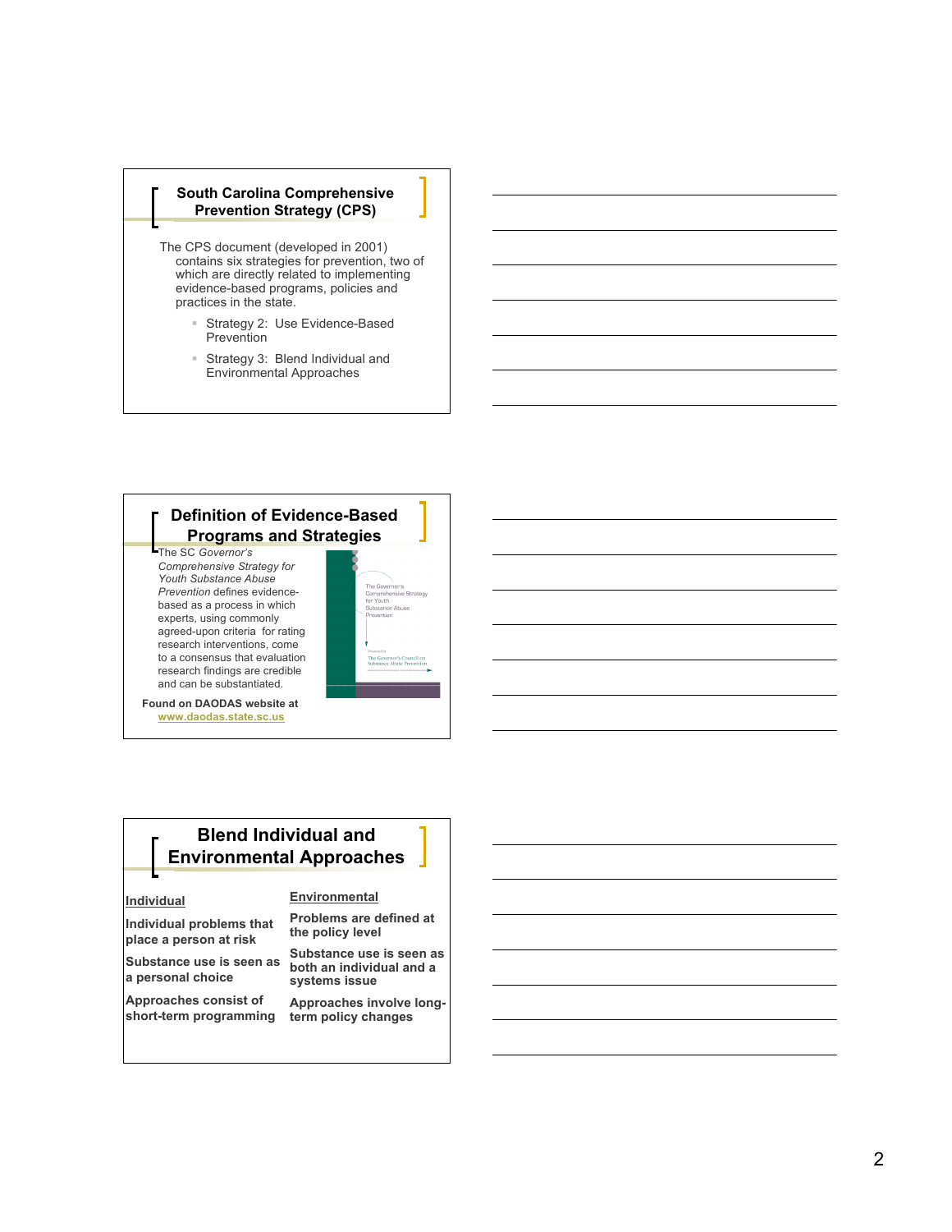#### **South Carolina Comprehensive** Prevention Strategy (CPS)

The CPS document (developed in 2001) contains six strategies for prevention, two of which are directly related to implementing evidence-based programs, policies and practices in the state.

- $\equiv$ Strategy 2: Use Evidence-Based Prevention
- Strategy 3: Blend Individual and Environmental Approaches

## **Definition of Evidence-Based Programs and Strategies**

The SC Governor's *C o m p re h e n s i ve S tra t e gy fo r Youth* Substance Abuse **Prevention defines evidence**based as a process in which experts, using commonly agreed-upon criteria for rating research interventions, come to a consensus that evaluation research findings are credible and can be substantiated.



Found on DAODAS website at www.daodas.state.sc.us

## **Blend Individual and Environmental Approaches**

#### **lndividual**

Individual problems that place a person at risk

Substance use is seen as a personal choice

**Approaches consist of** short-term programming

#### Environmental

**Problems are defined at** the policy level

Substance use is seen as **both an individual and a** systems issue

Approaches involve longterm policy changes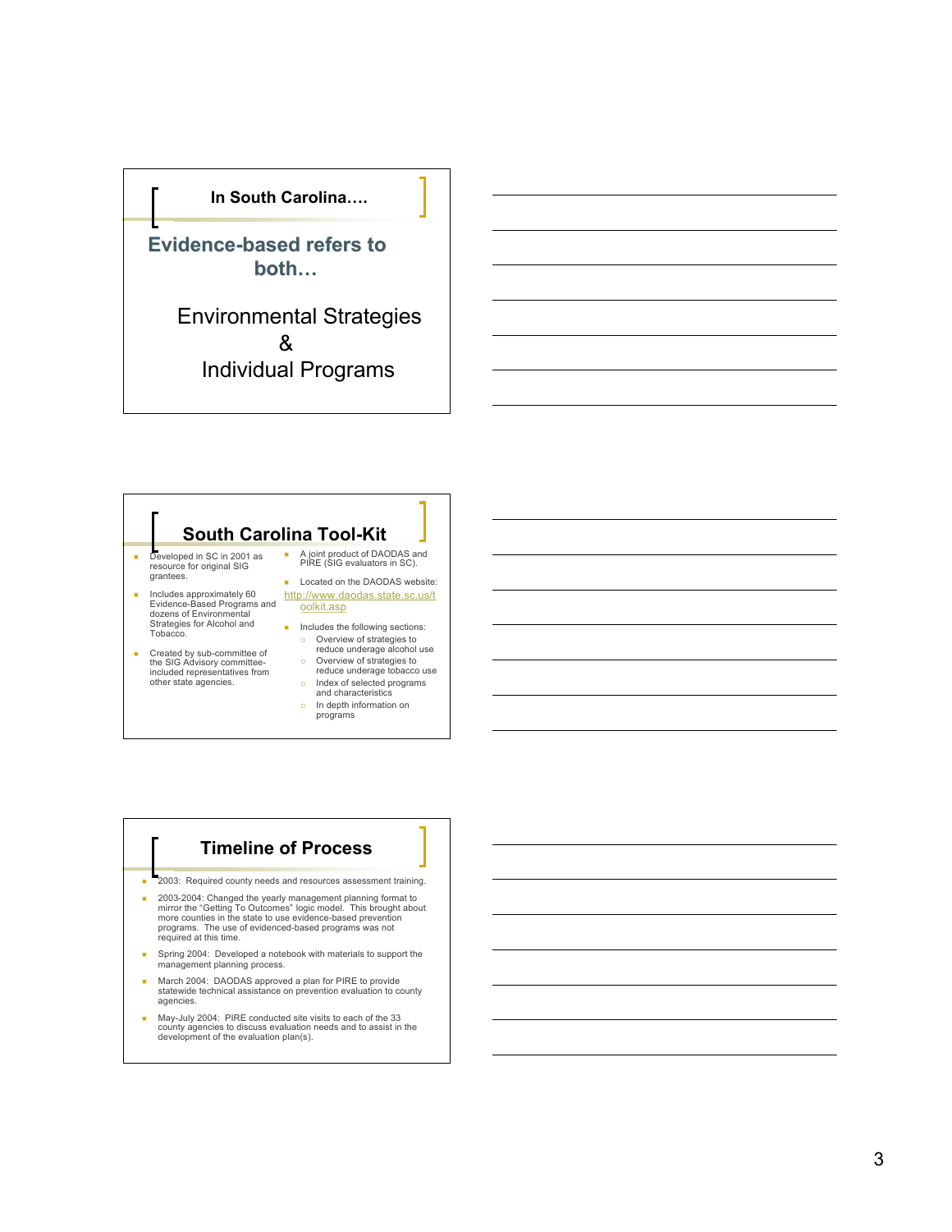

Environmental Strategies & Individual Programs

# South Carolina Tool-Kit

- $\bar{a}$ Developed in SC in 2001 as<br>resource for original SIG grantees.
- E Includes approximately 60<br>Evidence-Based Programs and<br>dozens of Environmental Strategies for Alcohol and Tobacco.
- E Created by sub-committee of<br>the SIG Advisory committee-<br>included representatives from<br>other state agencies.
- A joint product of DAODAS and<br>PIRE (SIG evaluators in SC). **EXECUTE:** Located on the DAODAS website: http://www.daodas.state.sc.us/t
- oolkit.asp **n** Includes the following sections:
	- $\circ$ Overview of strategies to<br>reduce underage alcohol use  $\circ$
	- Overview of strategies to reduce underage tobacco use  $\circ$ Index of selected programs
	- and characteristics
	- $\circ$ In depth information on<br>programs

## **f limeline of Process**

- × 2003: Required county needs and resources assessment training.
- 2003-2004: Changed the yearly management planning format to mirror the "Getting To Outcomes" logic model. This brought about<br>more counties in the state to use evidence-based prevention programs. The use of evidenced-based programs was not<br>required at this time.
- $\mathbf{r}$ Spring 2004: Developed a notebook with materials to support the<br>management planning process.
- E March 2004: DAODAS approved a plan for PIRE to provide<br>statewide technical assistance on prevention evaluation to county agencies.
- E May-July 2004: PIRE conducted site visits to each of the 33 county agencies to discuss evaluation needs and to assist in the<br>development of the evaluation plan(s).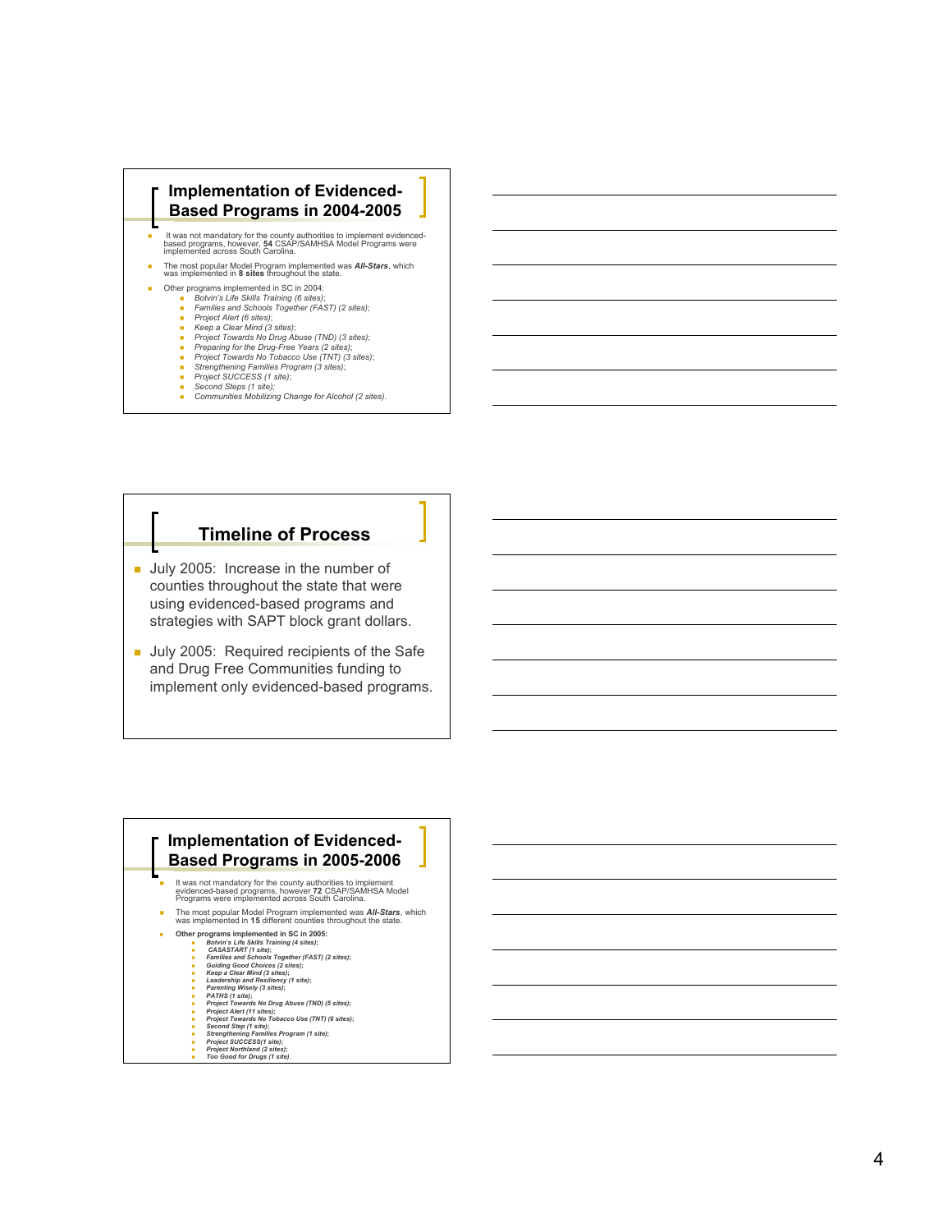

## **h l l n e of Process**

- Uuly 2005: Increase in the number of counties throughout the state that were using evidenced-based programs and strategies with SAPT block grant dollars.
- Ully 2005: Required recipients of the Safe and Drug Free Communities funding to implement only evidenced-based programs.

## **Implementation of Evidenced-Based Programs in 2005-2006**

- It was not mandatory for the county authorities to implement evidenced-based programs, however **7 <sup>2</sup>** CSAP/SAMHSA Model Programs were implemented across South Carolina.
- The most popular Model Program implemented was *All-Stars* , which was implemented in **15** different counties throughout the state.
	- **O t h e r p** Ξ

Ξ

Ξ

- rograms implemented in SC in 2005:<br>Botwin's Life Skills Training (4 sites);<br>CASASTART (1 site);<br>Families and Schools Together (FAST) (2 sites);<br>Guiding Good Choices (2 sites);<br>Leadership and Resiliency (1 site);<br>Leadership Ξ
- Ξ
- Ξ Ξ
- 
- PATHS (1 site);<br>Project Towards No Drug Abuse (TND) (5 sites); Ξ
- Ξ Project Alert (11 sites);<br>Project Alert (11 sites);<br>Second Step (1 site);<br>Second Step (1 site);<br>Strengthening Families Program (1 site);<br>Project SUCCESS(1 site);<br>Project Northland (2 sites);<br>Too Good for Drugs (1 site). Е
- Ξ
- Ξ Ξ
- Ξ Е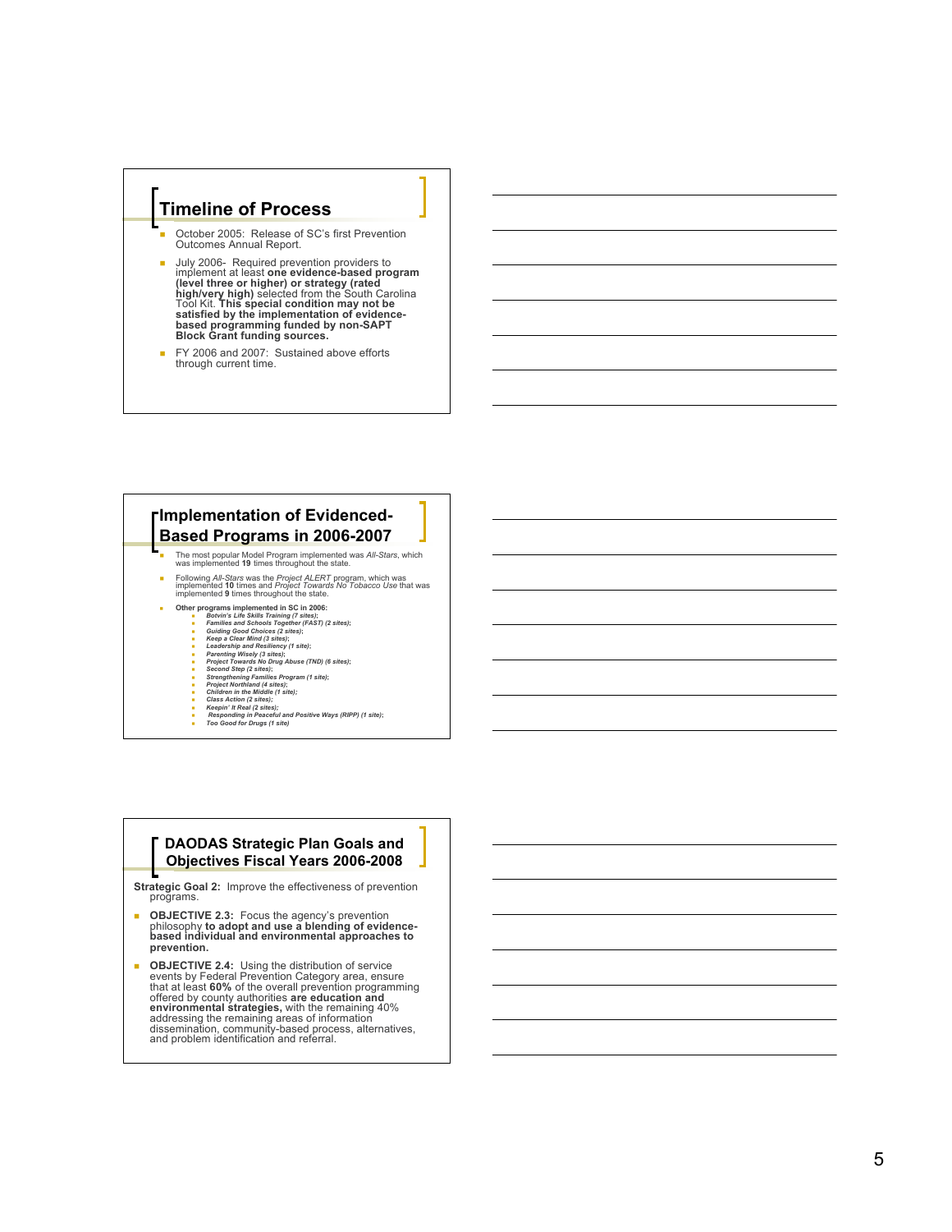## **h l l n e of Process**

- П October 2005: Release of SC's first Prevention Outcomes Annual Report.
- Ì. July 2006- Required prevention providers to<br>implement at least **one evidence-based program**<br>(level three or higher) or strategy (rated<br>high/very high) selected from the South Carolina<br>Tool Kit. This special condition may n satisfied by the implementation of evidence-<br>based programming funded by non-SAPT<br>Block Grant funding sources.
- Ű, FY 2006 and 2007: Sustained above efforts through current time.

## **Implementation of Evidenced-Based Programs in 2006-2007**

- The most popular Model Program implemented was *All-Stars* , which was implemented **<sup>19</sup>** times throughout the state.
- Following *All-Stars* was the *Project ALERT* program, which was implemented **10**  times and *Project Towards No Tobacco Use* that was implemented **<sup>9</sup>** times throughout the state.
- Ξ
	- Other programs implemented in SC in 2006:<br>
	Botvin's Life Skills Training (7 sites);<br>
	Families and Schools Together (FAST) (2 sites);<br>
	Alding Good Choices (2 sites);<br>
	Alding Good Choices (2 sites);<br>
	Alding Good Choices (2 s
		-
		- Е
		- Leadership and Resiliency (1 site);<br>Parenting Wisely (3 sites);<br>Parenting Wisely (3 sites);<br>Second Step (2 sites);<br>Second Step (2 sites);<br>Stengthening Families Program (1 site);<br>Project Northland (4 sites);<br>Children in the Ξ
		- Ξ
		- Ξ Ξ
		- Ξ
		- Ξ

Ξ

- 
- 

#### **DAODAS Strategic Plan Goals and Objectives Fiscal Years 2006-2008**

**Strategic Goal 2:** Improve the effectiveness of prevention programs.

- Ì. **OBJECTIVE 2.3:** Focus the agency's prevention philosophy to adopt and use a blending of evidence-<br>based individual and environmental approaches to prevention.
- ٠ **OBJECTIVE 2.4:** Using the distribution of service<br>events by Federal Prevention Category area, ensure<br>that at least 60% of the overall prevention programming<br>offered by county authorities **are education and**<br>environmental dissemination, community-based process, alternatives,<br>and problem identification and referral.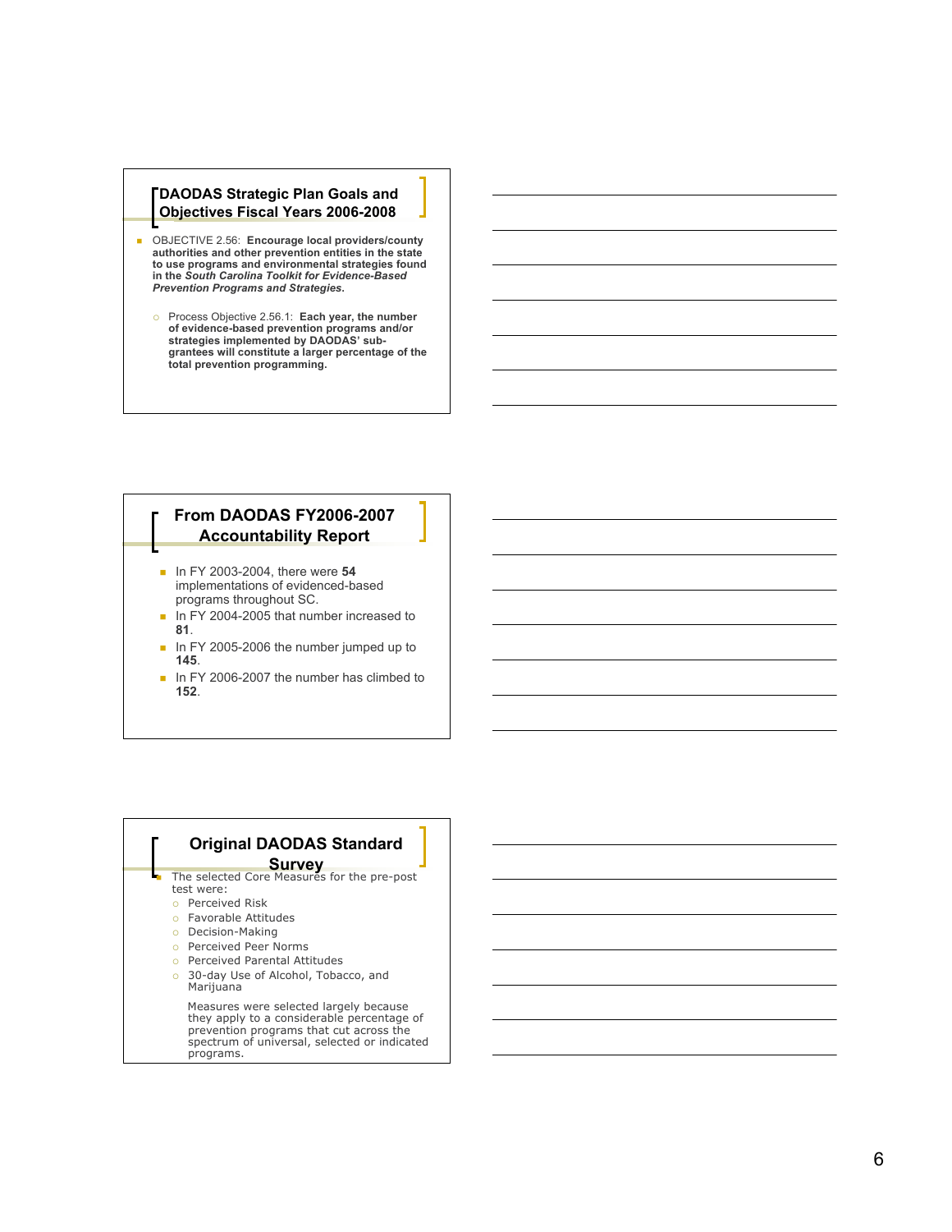#### **DAODAS Strategic Plan Goals and Objectives Fiscal Years 2006-2008**

- OBJECTIVE 2.56: Encourage local providers/county authorities and other prevention entities in the state to use programs and environmental strategies found<br>in the So*uth Carolina Toolkit for Evidence-Based* **Prevention Programs and Strategies.** 
	- Process Objective 2.56.1: Each year, the number<br>of evidence-based prevention programs and/or<br>strategies implemented by DAODAS' subgrantees will constitute a larger percentage of the total prevention programming.

## **From DAODAS FY2006-2007 Accountability Report**

- **n** FY 2003-2004, there were 54 implementations of evidenced-based programs throughout SC.
- $\blacksquare$  In FY 2004-2005 that number increased to **8 1** .
- In FY 2005-2006 the number jumped up to **1 4 5** .
- In FY 2006-2007 the number has climbed to **1 5 2** .

## **Original DAODAS Standard**

- **Survey**<br>The selected Core Measures for the pre-post ٠ test were:
	- o Perceived Risk
	- o Favorable Attitudes
	- o Decision-Making
	- o Perceived Peer Norms
	- o Perceived Parental Attitudes
	- o 30-day Use of Alcohol, Tobacco, and Marijuana

Measures were selected largely because they apply to a considerable percentage of prevention programs that cut across the spectrum of universal, selected or indicated programs.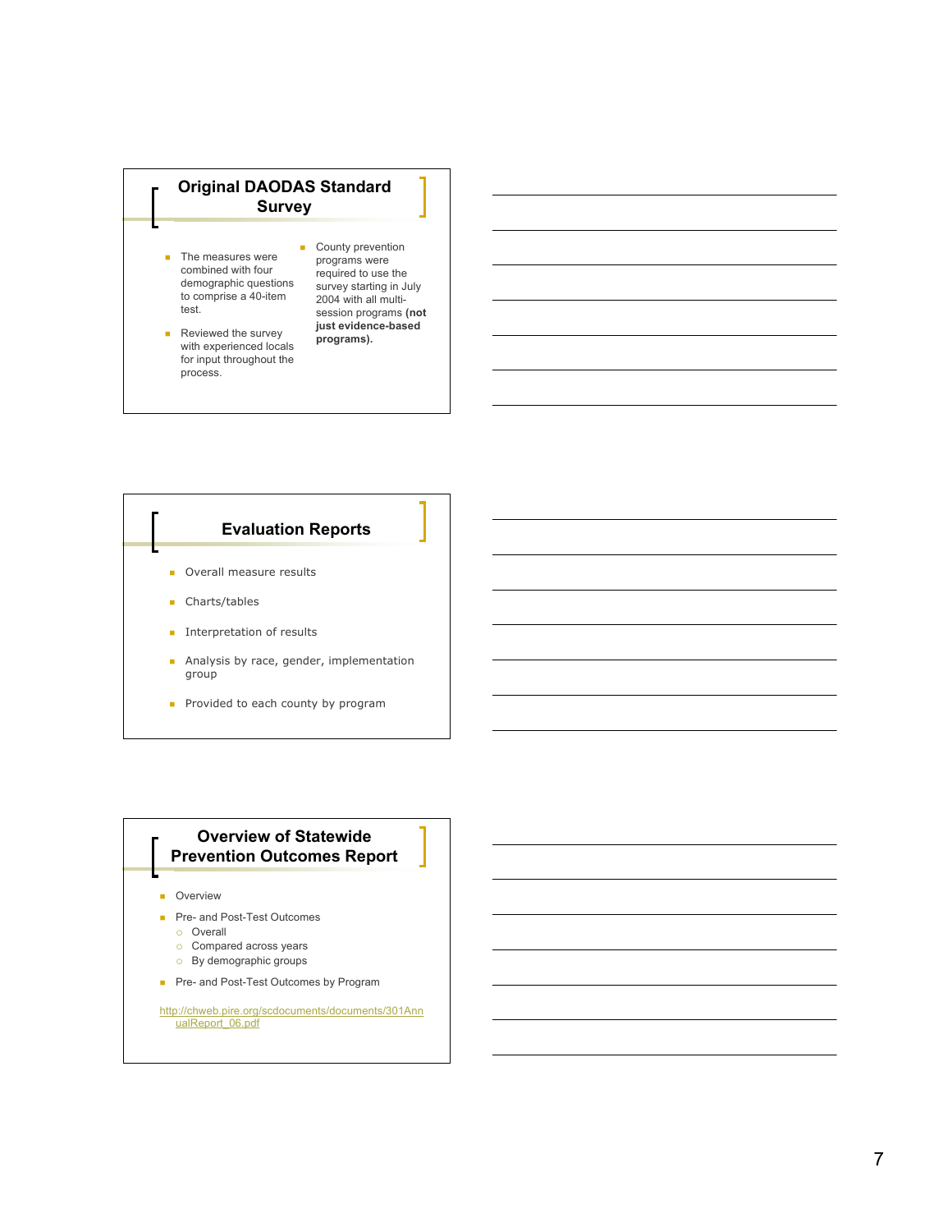## **Original DAODAS Standard Survey**

- $\blacksquare$  The measures were combined with four demographic questions to comprise a 40-item test.
- Reviewed the survey with experienced locals for input throughout the process.
- County prevention programs were required to use the survey starting in July 2004 with all multisession programs **(not just evidence-based programs).**

# **Evaluation Reports Overall measure results Charts/tables**

- **Interpretation of results**
- **Analysis by race, gender, implementation** group
- Provided to each county by program

## **Overview of Statewide Prevention Outcomes Report**

**D** Overview

- **Pre- and Post-Test Outcomes** 
	- o Overall
	- $\circ$  Compared across years
	- o By demographic groups
- **Pre- and Post-Test Outcomes by Program**

http://chweb.pire.org/scdocuments/documents/301Ann ualReport\_06.pdf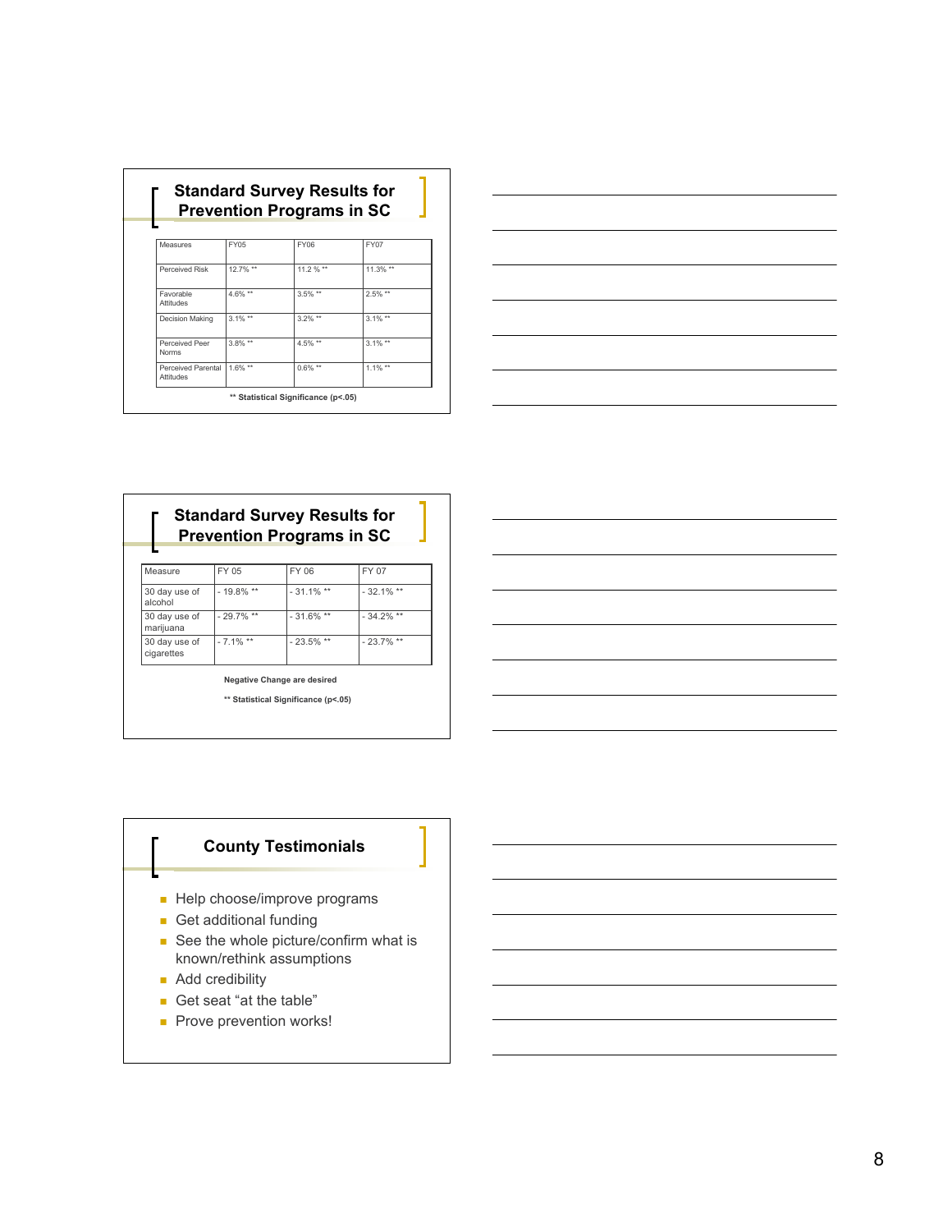| <b>Prevention Programs in SC</b> |            |             |             |  |  |
|----------------------------------|------------|-------------|-------------|--|--|
|                                  |            |             |             |  |  |
| Measures                         | FY05       | <b>FY06</b> | FY07        |  |  |
| Perceived Risk                   | 12.7% **   | 11.2 % **   | $11.3\%$ ** |  |  |
| Favorable<br>Attitudes           | 4.6% **    | $3.5\%$ **  | $2.5\%$ **  |  |  |
| Decision Making                  | $3.1\%$ ** | $3.2\%$ **  | $3.1\%$ **  |  |  |
| Perceived Peer<br><b>Norms</b>   | $3.8\%$ ** | $4.5\%$ **  | $3.1\%$ **  |  |  |
| Perceived Parental<br>Attitudes  | $1.6\%$ ** | $0.6\%$ **  | $1.1\%$ **  |  |  |



## **Standard Survey Results for Prevention Programs in SC**

| Measure                     | FY 05        | FY 06        | FY 07        |
|-----------------------------|--------------|--------------|--------------|
| 30 day use of<br>alcohol    | $-19.8\%$ ** | $-31.1\%$ ** | $-32.1\%$ ** |
| 30 day use of<br>marijuana  | $-29.7\%$ ** | $-31.6\%$ ** | $-34.2\%$ ** |
| 30 day use of<br>cigarettes | $-7.1\%$ **  | $-23.5\%$ ** | $-23.7\%$ ** |

**Negative Change are desired**

**\*\* Statistical Significance (p<.05)**

## **County Testimonials**

- Help choose/improve programs
- Get additional funding
- See the whole picture/confirm what is known/rethink assumptions
- **Add credibility**
- Get seat "at the table"
- Prove prevention works!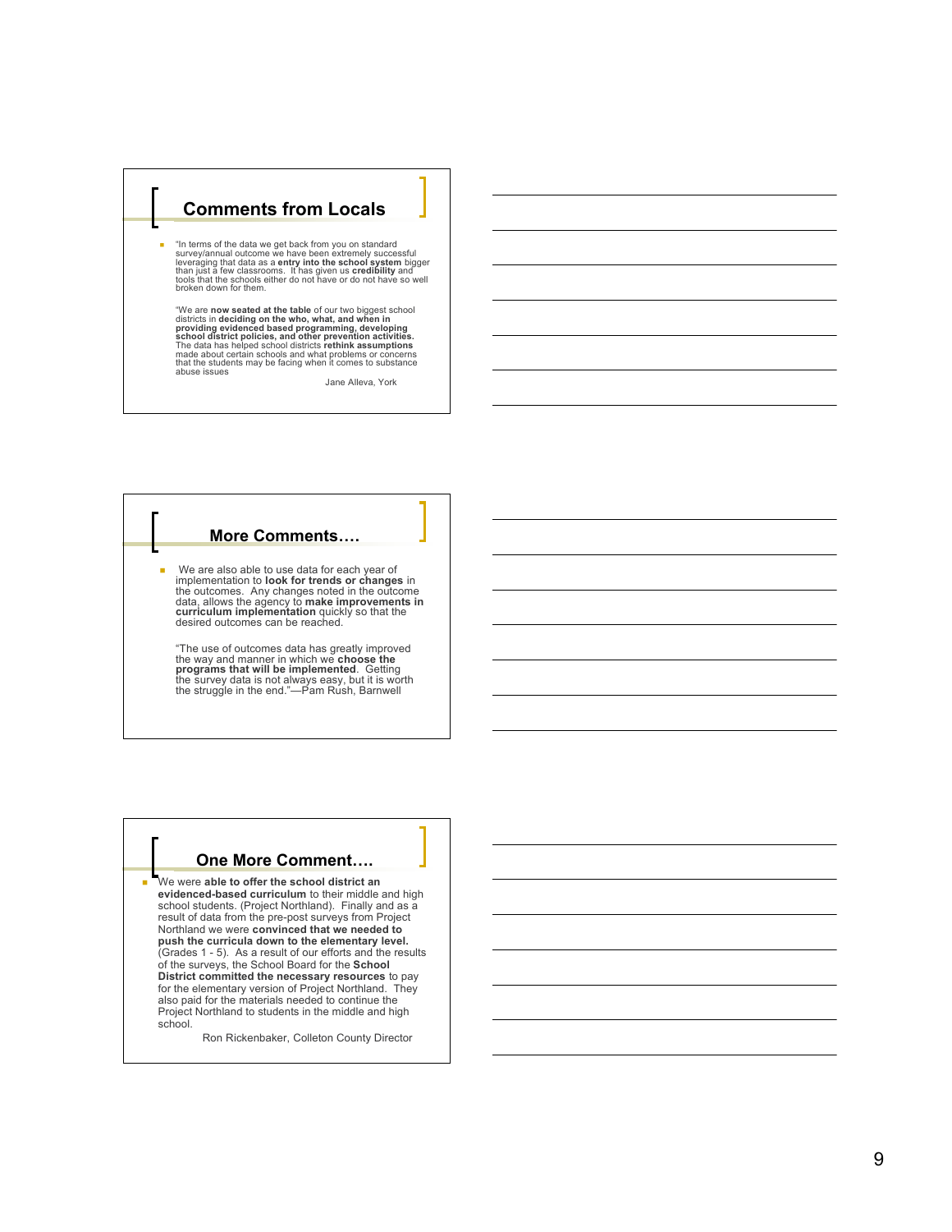## **Comments from Locals**

Е "In terms of the data we get back from you on standard<br>survey/annual outcome we have been extremely successful<br>leveraging that data as a **entry into the school system** bigger<br>than just a few classrooms. It has given us **cr** 

"We are now seated at the table of our two biggest school<br>districts in deciding on the who, what, and when in<br>providing evidenced based programming, developing<br>school district policies, and other prevention activities.<br>The made about certain schools and what problems or concerns<br>that the students may be facing when it comes to substance abuse issues

Jane Alleva, York

#### **More Comments … .**

Ľ We are also able to use data for each year of implementation to look for trends or changes in<br>the outcomes. Any changes noted in the outcome data, allows the agency to **make improvements in**<br>curriculum implementation quickly so that the desired outcomes can be reached.

"The use of outcomes data has greatly improved the way and manner in which we **choose the**<br>**programs that will be implemented.** Getting<br>the survey data is not always easy, but it is worth<br>the struggle in the end."—Pam Rush, Barnwell

## **One More Comment … .**

Ľ

We were able to offer the school district an evidenced-based curriculum to their middle and high school students. (Project Northland). Finally and as a result of data from the pre-post surveys from Project Northland we were convinced that we needed to push the curricula down to the elementary level. (Grades 1 - 5). As a result of our efforts and the results of the surveys, the School Board for the School District committed the necessary resources to pay for the elementary version of Project Northland. They also paid for the materials needed to continue the Project Northland to students in the middle and high school.

Ron Rickenbaker, Colleton County Director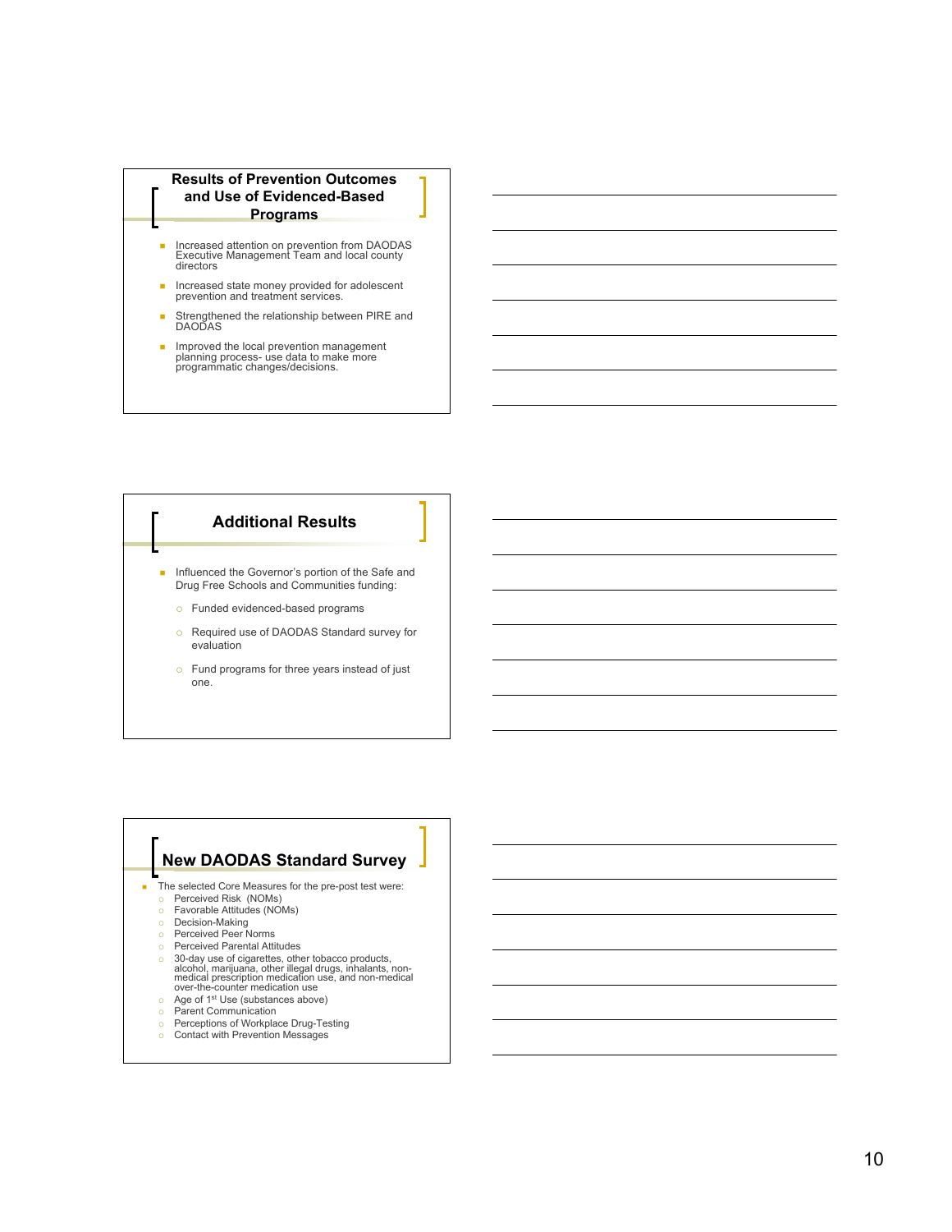



## **New DAODAS Standard Survey**

The selected Core Measures for the pre-post test were:

- Perceived Risk (NOMs)
- Favorable Attitudes (NOMs)
- Decision-Making<br>○ Perceived Peer Norms
- **Perceived Parental Attitudes**
- 
- <sup>o</sup> 30-day use of cigarettes, other tobacco products,<br>alcohol, marijuana, other illegal drugs, inhalants, non-<br>medical prescription medication use, and non-medical<br>over-the-counter medication use
- Age of 1<sup>st</sup> Use (substances above)<br>○ Parent Communication
- **Perceptions of Workplace Drug-Testing**
- Contact with Prevention Messages